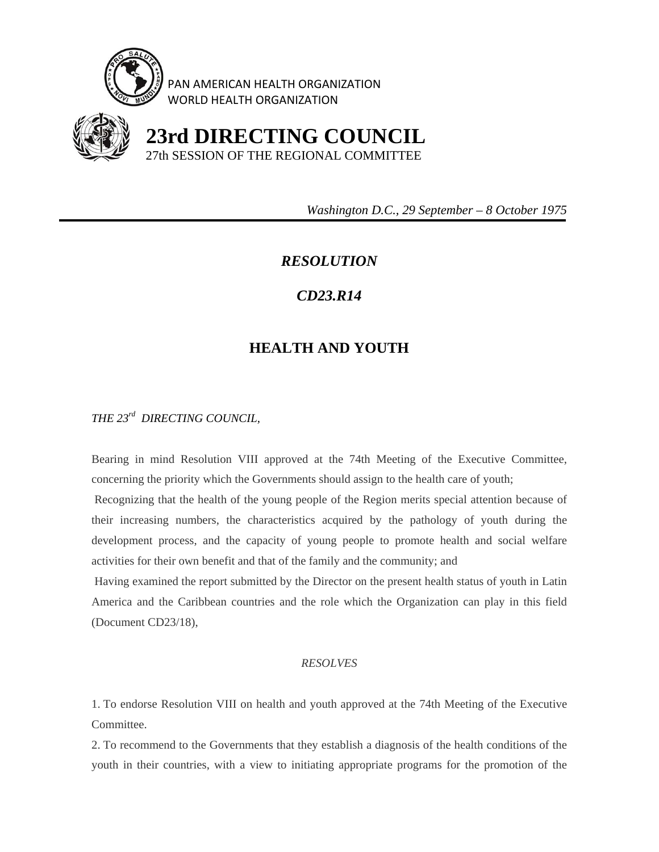

PAN AMERICAN HEALTH ORGANIZATION WORLD HEALTH ORGANIZATION



 **23rd DIRECTING COUNCIL** 27th SESSION OF THE REGIONAL COMMITTEE

 *Washington D.C., 29 September – 8 October 1975* 

# *RESOLUTION*

## *CD23.R14*

# **HEALTH AND YOUTH**

### *THE 23rd DIRECTING COUNCIL,*

Bearing in mind Resolution VIII approved at the 74th Meeting of the Executive Committee, concerning the priority which the Governments should assign to the health care of youth;

 Recognizing that the health of the young people of the Region merits special attention because of their increasing numbers, the characteristics acquired by the pathology of youth during the development process, and the capacity of young people to promote health and social welfare activities for their own benefit and that of the family and the community; and

 Having examined the report submitted by the Director on the present health status of youth in Latin America and the Caribbean countries and the role which the Organization can play in this field (Document CD23/18),

#### *RESOLVES*

1. To endorse Resolution VIII on health and youth approved at the 74th Meeting of the Executive Committee.

2. To recommend to the Governments that they establish a diagnosis of the health conditions of the youth in their countries, with a view to initiating appropriate programs for the promotion of the